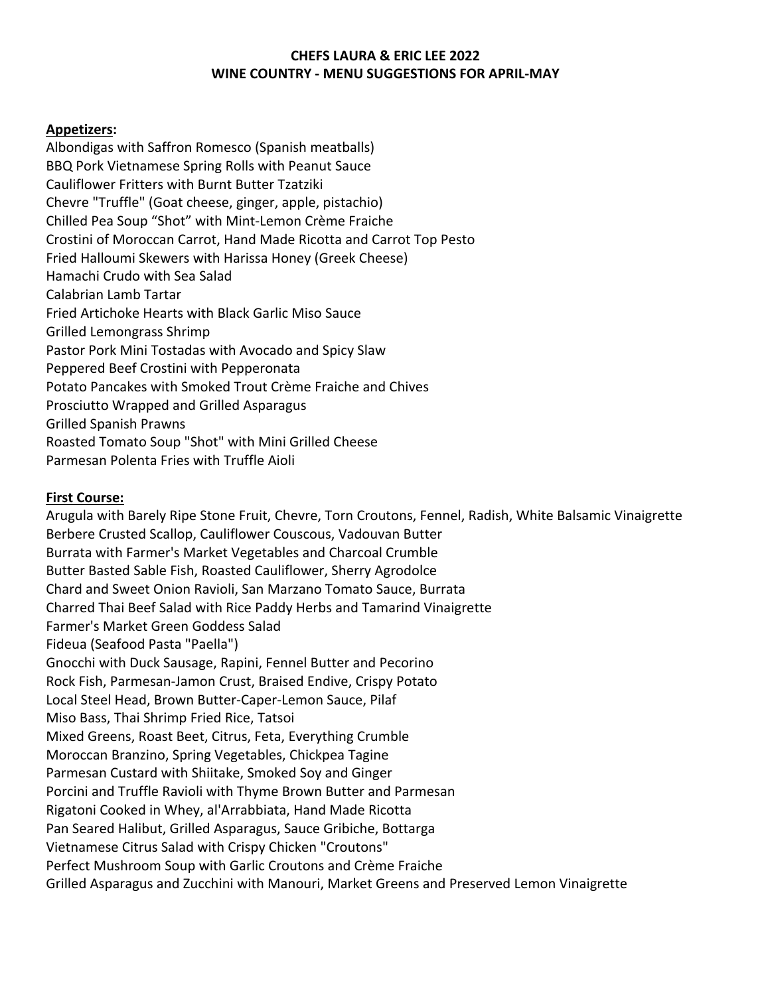## **CHEFS LAURA & ERIC LEE 2022 WINE COUNTRY - MENU SUGGESTIONS FOR APRIL-MAY**

#### **Appetizers:**

Albondigas with Saffron Romesco (Spanish meatballs) BBQ Pork Vietnamese Spring Rolls with Peanut Sauce Cauliflower Fritters with Burnt Butter Tzatziki Chevre "Truffle" (Goat cheese, ginger, apple, pistachio) Chilled Pea Soup "Shot" with Mint-Lemon Crème Fraiche Crostini of Moroccan Carrot, Hand Made Ricotta and Carrot Top Pesto Fried Halloumi Skewers with Harissa Honey (Greek Cheese) Hamachi Crudo with Sea Salad Calabrian Lamb Tartar Fried Artichoke Hearts with Black Garlic Miso Sauce Grilled Lemongrass Shrimp Pastor Pork Mini Tostadas with Avocado and Spicy Slaw Peppered Beef Crostini with Pepperonata Potato Pancakes with Smoked Trout Crème Fraiche and Chives Prosciutto Wrapped and Grilled Asparagus Grilled Spanish Prawns Roasted Tomato Soup "Shot" with Mini Grilled Cheese Parmesan Polenta Fries with Truffle Aioli

### **First Course:**

Arugula with Barely Ripe Stone Fruit, Chevre, Torn Croutons, Fennel, Radish, White Balsamic Vinaigrette Berbere Crusted Scallop, Cauliflower Couscous, Vadouvan Butter Burrata with Farmer's Market Vegetables and Charcoal Crumble Butter Basted Sable Fish, Roasted Cauliflower, Sherry Agrodolce Chard and Sweet Onion Ravioli, San Marzano Tomato Sauce, Burrata Charred Thai Beef Salad with Rice Paddy Herbs and Tamarind Vinaigrette Farmer's Market Green Goddess Salad Fideua (Seafood Pasta "Paella") Gnocchi with Duck Sausage, Rapini, Fennel Butter and Pecorino Rock Fish, Parmesan-Jamon Crust, Braised Endive, Crispy Potato Local Steel Head, Brown Butter-Caper-Lemon Sauce, Pilaf Miso Bass, Thai Shrimp Fried Rice, Tatsoi Mixed Greens, Roast Beet, Citrus, Feta, Everything Crumble Moroccan Branzino, Spring Vegetables, Chickpea Tagine Parmesan Custard with Shiitake, Smoked Soy and Ginger Porcini and Truffle Ravioli with Thyme Brown Butter and Parmesan Rigatoni Cooked in Whey, al'Arrabbiata, Hand Made Ricotta Pan Seared Halibut, Grilled Asparagus, Sauce Gribiche, Bottarga Vietnamese Citrus Salad with Crispy Chicken "Croutons" Perfect Mushroom Soup with Garlic Croutons and Crème Fraiche Grilled Asparagus and Zucchini with Manouri, Market Greens and Preserved Lemon Vinaigrette